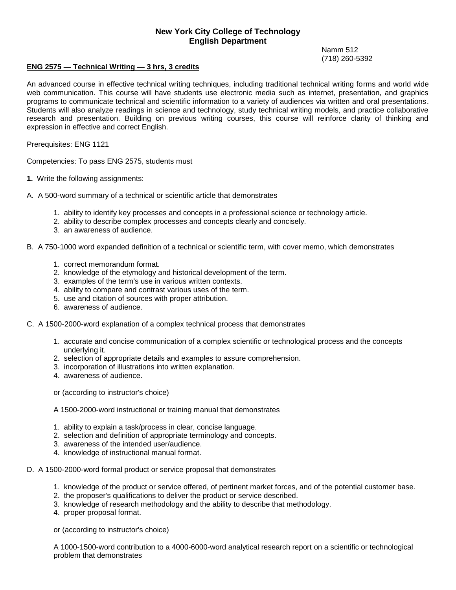## **New York City College of Technology English Department**

Namm 512 (718) 260-5392

## **ENG 2575 — Technical Writing — 3 hrs, 3 credits**

 An advanced course in effective technical writing techniques, including traditional technical writing forms and world wide web communication. This course will have students use electronic media such as internet, presentation, and graphics programs to communicate technical and scientific information to a variety of audiences via written and oral presentations. Students will also analyze readings in science and technology, study technical writing models, and practice collaborative research and presentation. Building on previous writing courses, this course will reinforce clarity of thinking and expression in effective and correct English.

Prerequisites: ENG 1121

Competencies: To pass ENG 2575, students must

- **1.** Write the following assignments:
- A. A 500-word summary of a technical or scientific article that demonstrates
	- 1. ability to identify key processes and concepts in a professional science or technology article.
	- 2. ability to describe complex processes and concepts clearly and concisely.
	- 3. an awareness of audience.
- B. A 750-1000 word expanded definition of a technical or scientific term, with cover memo, which demonstrates
	- 1. correct memorandum format.
	- 2. knowledge of the etymology and historical development of the term.
	- 3. examples of the term's use in various written contexts.
	- 4. ability to compare and contrast various uses of the term.
	- 5. use and citation of sources with proper attribution.
	- 6. awareness of audience.
- C. A 1500-2000-word explanation of a complex technical process that demonstrates
	- 1. accurate and concise communication of a complex scientific or technological process and the concepts underlying it.
	- 2. selection of appropriate details and examples to assure comprehension.
	- 3. incorporation of illustrations into written explanation. 4. awareness of audience.
	-
	- or (according to instructor's choice)
	- A 1500-2000-word instructional or training manual that demonstrates<br>1. ability to explain a task/process in clear, concise language.
	-
	- 2. selection and definition of appropriate terminology and concepts.
	- 3. awareness of the intended user/audience.
	- 4. knowledge of instructional manual format.
- D. A 1500-2000-word formal product or service proposal that demonstrates
	- 1. knowledge of the product or service offered, of pertinent market forces, and of the potential customer base.
	- 2. the proposer's qualifications to deliver the product or service described.
	- 3. knowledge of research methodology and the ability to describe that methodology.
	- 4. proper proposal format.

or (according to instructor's choice)

A 1000-1500-word contribution to a 4000-6000-word analytical research report on a scientific or technological problem that demonstrates